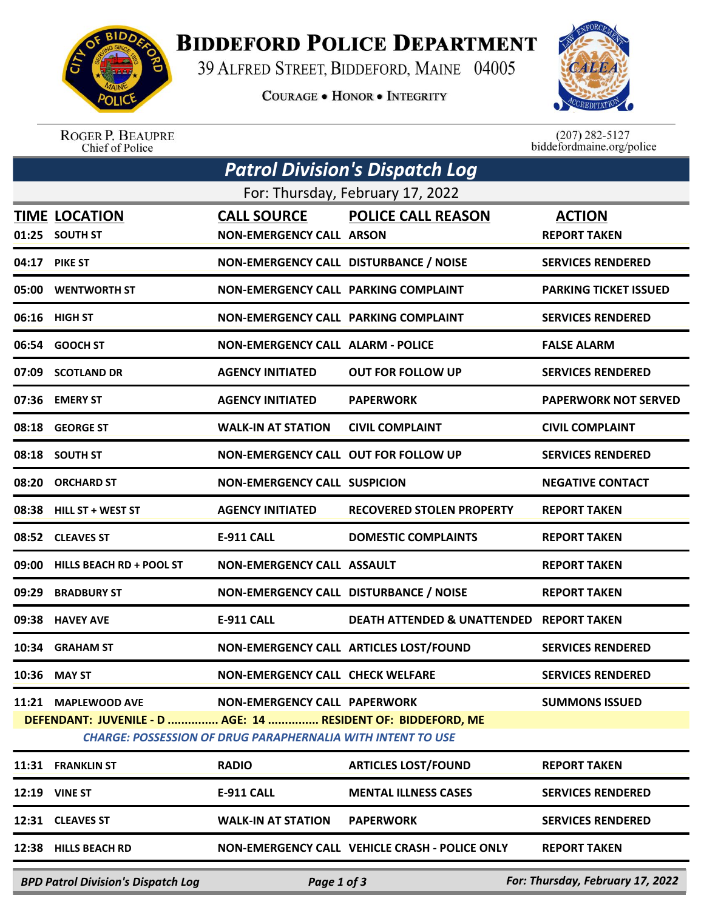

## **BIDDEFORD POLICE DEPARTMENT**

39 ALFRED STREET, BIDDEFORD, MAINE 04005

**COURAGE . HONOR . INTEGRITY** 



ROGER P. BEAUPRE<br>Chief of Police

 $(207)$  282-5127<br>biddefordmaine.org/police

| Patrol Division's Dispatch Log                                     |                                                              |                                             |                                                     |                              |  |  |  |
|--------------------------------------------------------------------|--------------------------------------------------------------|---------------------------------------------|-----------------------------------------------------|------------------------------|--|--|--|
| For: Thursday, February 17, 2022                                   |                                                              |                                             |                                                     |                              |  |  |  |
|                                                                    | <b>TIME LOCATION</b>                                         | <b>CALL SOURCE</b>                          | <b>POLICE CALL REASON</b>                           | <b>ACTION</b>                |  |  |  |
|                                                                    | 01:25 SOUTH ST                                               | <b>NON-EMERGENCY CALL ARSON</b>             |                                                     | <b>REPORT TAKEN</b>          |  |  |  |
|                                                                    | 04:17 PIKE ST                                                | NON-EMERGENCY CALL DISTURBANCE / NOISE      |                                                     | <b>SERVICES RENDERED</b>     |  |  |  |
|                                                                    | 05:00 WENTWORTH ST                                           | NON-EMERGENCY CALL PARKING COMPLAINT        |                                                     | <b>PARKING TICKET ISSUED</b> |  |  |  |
|                                                                    | 06:16 HIGH ST                                                | <b>NON-EMERGENCY CALL PARKING COMPLAINT</b> |                                                     | <b>SERVICES RENDERED</b>     |  |  |  |
|                                                                    | 06:54 GOOCH ST                                               | <b>NON-EMERGENCY CALL ALARM - POLICE</b>    |                                                     | <b>FALSE ALARM</b>           |  |  |  |
|                                                                    | 07:09 SCOTLAND DR                                            | <b>AGENCY INITIATED</b>                     | <b>OUT FOR FOLLOW UP</b>                            | <b>SERVICES RENDERED</b>     |  |  |  |
|                                                                    | 07:36 EMERY ST                                               | <b>AGENCY INITIATED</b>                     | <b>PAPERWORK</b>                                    | <b>PAPERWORK NOT SERVED</b>  |  |  |  |
|                                                                    | 08:18 GEORGE ST                                              | <b>WALK-IN AT STATION</b>                   | <b>CIVIL COMPLAINT</b>                              | <b>CIVIL COMPLAINT</b>       |  |  |  |
|                                                                    | 08:18 SOUTH ST                                               | <b>NON-EMERGENCY CALL OUT FOR FOLLOW UP</b> |                                                     | <b>SERVICES RENDERED</b>     |  |  |  |
|                                                                    | 08:20 ORCHARD ST                                             | <b>NON-EMERGENCY CALL SUSPICION</b>         |                                                     | <b>NEGATIVE CONTACT</b>      |  |  |  |
|                                                                    | 08:38 HILL ST + WEST ST                                      | <b>AGENCY INITIATED</b>                     | <b>RECOVERED STOLEN PROPERTY</b>                    | <b>REPORT TAKEN</b>          |  |  |  |
|                                                                    | 08:52 CLEAVES ST                                             | <b>E-911 CALL</b>                           | <b>DOMESTIC COMPLAINTS</b>                          | <b>REPORT TAKEN</b>          |  |  |  |
| 09:00                                                              | <b>HILLS BEACH RD + POOL ST</b>                              | <b>NON-EMERGENCY CALL ASSAULT</b>           |                                                     | <b>REPORT TAKEN</b>          |  |  |  |
| 09:29                                                              | <b>BRADBURY ST</b>                                           | NON-EMERGENCY CALL DISTURBANCE / NOISE      |                                                     | <b>REPORT TAKEN</b>          |  |  |  |
|                                                                    | 09:38 HAVEY AVE                                              | <b>E-911 CALL</b>                           | <b>DEATH ATTENDED &amp; UNATTENDED REPORT TAKEN</b> |                              |  |  |  |
|                                                                    | 10:34 GRAHAM ST                                              |                                             | NON-EMERGENCY CALL ARTICLES LOST/FOUND              | <b>SERVICES RENDERED</b>     |  |  |  |
|                                                                    | 10:36 MAY ST                                                 | <b>NON-EMERGENCY CALL CHECK WELFARE</b>     |                                                     | <b>SERVICES RENDERED</b>     |  |  |  |
|                                                                    | 11:21 MAPLEWOOD AVE                                          | NON-EMERGENCY CALL PAPERWORK                |                                                     | <b>SUMMONS ISSUED</b>        |  |  |  |
|                                                                    | DEFENDANT: JUVENILE - D  AGE: 14  RESIDENT OF: BIDDEFORD, ME |                                             |                                                     |                              |  |  |  |
| <b>CHARGE: POSSESSION OF DRUG PARAPHERNALIA WITH INTENT TO USE</b> |                                                              |                                             |                                                     |                              |  |  |  |
|                                                                    | 11:31 FRANKLIN ST                                            | <b>RADIO</b>                                | <b>ARTICLES LOST/FOUND</b>                          | <b>REPORT TAKEN</b>          |  |  |  |
|                                                                    | <b>12:19 VINE ST</b>                                         | E-911 CALL                                  | <b>MENTAL ILLNESS CASES</b>                         | <b>SERVICES RENDERED</b>     |  |  |  |
|                                                                    | 12:31 CLEAVES ST                                             | <b>WALK-IN AT STATION</b>                   | <b>PAPERWORK</b>                                    | <b>SERVICES RENDERED</b>     |  |  |  |
|                                                                    | 12:38 HILLS BEACH RD                                         |                                             | NON-EMERGENCY CALL VEHICLE CRASH - POLICE ONLY      | <b>REPORT TAKEN</b>          |  |  |  |
|                                                                    |                                                              |                                             |                                                     |                              |  |  |  |

*BPD Patrol Division's Dispatch Log Page 1 of 3 For: Thursday, February 17, 2022*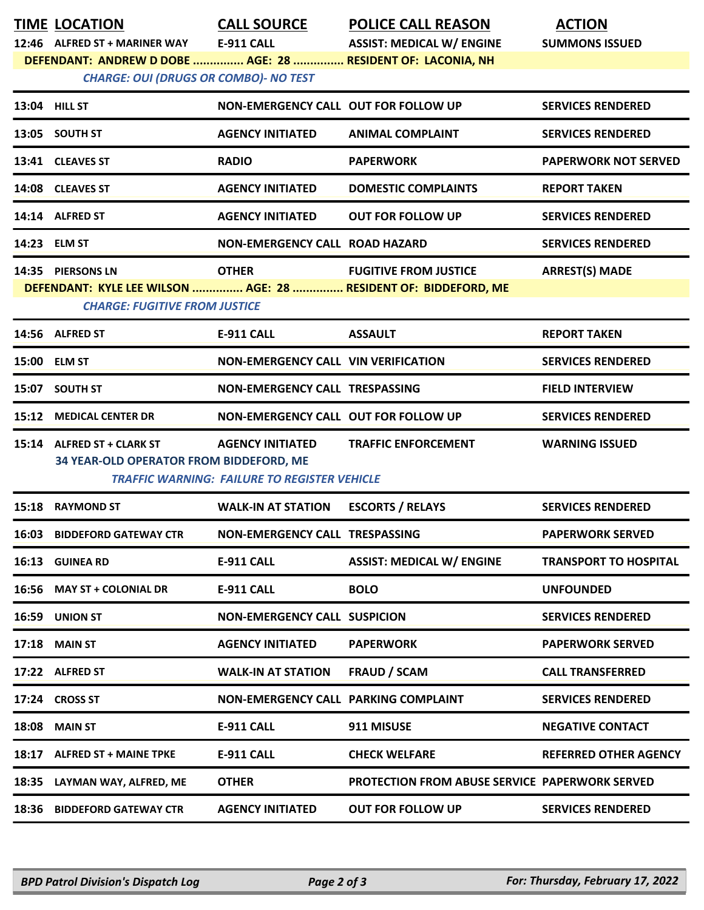|                                                                                                             | <b>TIME LOCATION</b>                    | <b>CALL SOURCE</b>                                  | <b>POLICE CALL REASON</b>                                       | <b>ACTION</b>                |  |  |  |
|-------------------------------------------------------------------------------------------------------------|-----------------------------------------|-----------------------------------------------------|-----------------------------------------------------------------|------------------------------|--|--|--|
|                                                                                                             | 12:46 ALFRED ST + MARINER WAY           | E-911 CALL                                          | <b>ASSIST: MEDICAL W/ ENGINE</b>                                | <b>SUMMONS ISSUED</b>        |  |  |  |
| DEFENDANT: ANDREW D DOBE  AGE: 28  RESIDENT OF: LACONIA, NH<br><b>CHARGE: OUI (DRUGS OR COMBO)- NO TEST</b> |                                         |                                                     |                                                                 |                              |  |  |  |
|                                                                                                             | 13:04 HILL ST                           | NON-EMERGENCY CALL OUT FOR FOLLOW UP                |                                                                 | <b>SERVICES RENDERED</b>     |  |  |  |
|                                                                                                             | 13:05 SOUTH ST                          | <b>AGENCY INITIATED</b>                             | <b>ANIMAL COMPLAINT</b>                                         | <b>SERVICES RENDERED</b>     |  |  |  |
|                                                                                                             | 13:41 CLEAVES ST                        | <b>RADIO</b>                                        | <b>PAPERWORK</b>                                                | <b>PAPERWORK NOT SERVED</b>  |  |  |  |
|                                                                                                             | 14:08 CLEAVES ST                        | <b>AGENCY INITIATED</b>                             | <b>DOMESTIC COMPLAINTS</b>                                      | <b>REPORT TAKEN</b>          |  |  |  |
|                                                                                                             | 14:14 ALFRED ST                         | <b>AGENCY INITIATED</b>                             | <b>OUT FOR FOLLOW UP</b>                                        | <b>SERVICES RENDERED</b>     |  |  |  |
|                                                                                                             | 14:23 ELM ST                            | NON-EMERGENCY CALL ROAD HAZARD                      |                                                                 | <b>SERVICES RENDERED</b>     |  |  |  |
|                                                                                                             | 14:35 PIERSONS LN                       | <b>OTHER</b>                                        | <b>FUGITIVE FROM JUSTICE</b>                                    | <b>ARREST(S) MADE</b>        |  |  |  |
|                                                                                                             |                                         |                                                     | DEFENDANT: KYLE LEE WILSON  AGE: 28  RESIDENT OF: BIDDEFORD, ME |                              |  |  |  |
|                                                                                                             | <b>CHARGE: FUGITIVE FROM JUSTICE</b>    |                                                     |                                                                 |                              |  |  |  |
|                                                                                                             | 14:56 ALFRED ST                         | <b>E-911 CALL</b>                                   | <b>ASSAULT</b>                                                  | <b>REPORT TAKEN</b>          |  |  |  |
|                                                                                                             | 15:00 ELM ST                            | NON-EMERGENCY CALL VIN VERIFICATION                 |                                                                 | <b>SERVICES RENDERED</b>     |  |  |  |
| 15:07                                                                                                       | <b>SOUTH ST</b>                         | NON-EMERGENCY CALL TRESPASSING                      |                                                                 | <b>FIELD INTERVIEW</b>       |  |  |  |
|                                                                                                             | 15:12 MEDICAL CENTER DR                 | NON-EMERGENCY CALL OUT FOR FOLLOW UP                |                                                                 | <b>SERVICES RENDERED</b>     |  |  |  |
|                                                                                                             | 15:14 ALFRED ST + CLARK ST              | <b>AGENCY INITIATED</b>                             | <b>TRAFFIC ENFORCEMENT</b>                                      | <b>WARNING ISSUED</b>        |  |  |  |
|                                                                                                             | 34 YEAR-OLD OPERATOR FROM BIDDEFORD, ME | <b>TRAFFIC WARNING: FAILURE TO REGISTER VEHICLE</b> |                                                                 |                              |  |  |  |
|                                                                                                             | 15:18 RAYMOND ST                        | <b>WALK-IN AT STATION</b>                           | <b>ESCORTS / RELAYS</b>                                         | <b>SERVICES RENDERED</b>     |  |  |  |
| 16:03                                                                                                       | <b>BIDDEFORD GATEWAY CTR</b>            | <b>NON-EMERGENCY CALL TRESPASSING</b>               |                                                                 | <b>PAPERWORK SERVED</b>      |  |  |  |
|                                                                                                             | 16:13 GUINEA RD                         | <b>E-911 CALL</b>                                   | <b>ASSIST: MEDICAL W/ ENGINE</b>                                | <b>TRANSPORT TO HOSPITAL</b> |  |  |  |
|                                                                                                             | 16:56 MAY ST + COLONIAL DR              | <b>E-911 CALL</b>                                   | <b>BOLO</b>                                                     | <b>UNFOUNDED</b>             |  |  |  |
|                                                                                                             | 16:59 UNION ST                          | <b>NON-EMERGENCY CALL SUSPICION</b>                 |                                                                 | <b>SERVICES RENDERED</b>     |  |  |  |
|                                                                                                             | <b>17:18 MAIN ST</b>                    | <b>AGENCY INITIATED</b>                             | <b>PAPERWORK</b>                                                | <b>PAPERWORK SERVED</b>      |  |  |  |
|                                                                                                             | 17:22 ALFRED ST                         | <b>WALK-IN AT STATION</b>                           | <b>FRAUD / SCAM</b>                                             | <b>CALL TRANSFERRED</b>      |  |  |  |
|                                                                                                             | 17:24 CROSS ST                          | NON-EMERGENCY CALL PARKING COMPLAINT                |                                                                 | <b>SERVICES RENDERED</b>     |  |  |  |
|                                                                                                             | <b>18:08 MAIN ST</b>                    | <b>E-911 CALL</b>                                   | 911 MISUSE                                                      | <b>NEGATIVE CONTACT</b>      |  |  |  |
|                                                                                                             | 18:17 ALFRED ST + MAINE TPKE            | <b>E-911 CALL</b>                                   | <b>CHECK WELFARE</b>                                            | <b>REFERRED OTHER AGENCY</b> |  |  |  |
|                                                                                                             | 18:35 LAYMAN WAY, ALFRED, ME            | <b>OTHER</b>                                        | PROTECTION FROM ABUSE SERVICE PAPERWORK SERVED                  |                              |  |  |  |
|                                                                                                             | 18:36 BIDDEFORD GATEWAY CTR             | <b>AGENCY INITIATED</b>                             | <b>OUT FOR FOLLOW UP</b>                                        | <b>SERVICES RENDERED</b>     |  |  |  |